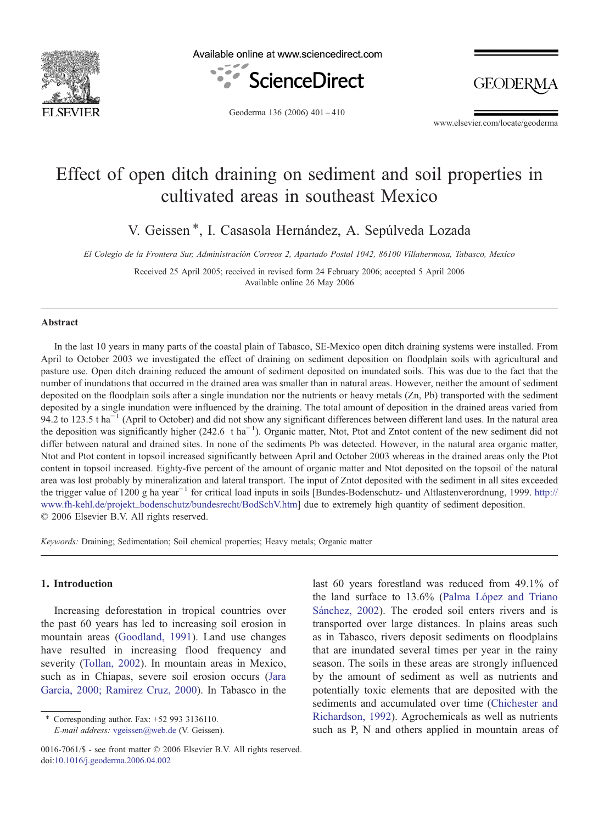

Available online at www.sciencedirect.com



**GEODERMA** 

Geoderma 136 (2006) 401–410

www.elsevier.com/locate/geoderma

# Effect of open ditch draining on sediment and soil properties in cultivated areas in southeast Mexico

V. Geissen ⁎, I. Casasola Hernández, A. Sepúlveda Lozada

El Colegio de la Frontera Sur, Administración Correos 2, Apartado Postal 1042, 86100 Villahermosa, Tabasco, Mexico

Received 25 April 2005; received in revised form 24 February 2006; accepted 5 April 2006 Available online 26 May 2006

#### Abstract

In the last 10 years in many parts of the coastal plain of Tabasco, SE-Mexico open ditch draining systems were installed. From April to October 2003 we investigated the effect of draining on sediment deposition on floodplain soils with agricultural and pasture use. Open ditch draining reduced the amount of sediment deposited on inundated soils. This was due to the fact that the number of inundations that occurred in the drained area was smaller than in natural areas. However, neither the amount of sediment deposited on the floodplain soils after a single inundation nor the nutrients or heavy metals (Zn, Pb) transported with the sediment deposited by a single inundation were influenced by the draining. The total amount of deposition in the drained areas varied from 94.2 to 123.5 t ha<sup> $-1$ </sup> (April to October) and did not show any significant differences between different land uses. In the natural area the deposition was significantly higher (242.6 t ha<sup>-1</sup>). Organic matter, Ntot, Ptot and Zntot content of the new sediment did not differ between natural and drained sites. In none of the sediments Pb was detected. However, in the natural area organic matter, Ntot and Ptot content in topsoil increased significantly between April and October 2003 whereas in the drained areas only the Ptot content in topsoil increased. Eighty-five percent of the amount of organic matter and Ntot deposited on the topsoil of the natural area was lost probably by mineralization and lateral transport. The input of Zntot deposited with the sediment in all sites exceeded the trigger value of 1200 g ha year−<sup>1</sup> for critical load inputs in soils [Bundes-Bodenschutz- und Altlastenverordnung, 1999. [http://](http://www.fhehl.de/projekt_bodenschutz/bundesrecht/BodSchV.htm) [www.fh-kehl.de/projekt\\_bodenschutz/bundesrecht/BodSchV.htm](http://www.fhehl.de/projekt_bodenschutz/bundesrecht/BodSchV.htm)] due to extremely high quantity of sediment deposition. © 2006 Elsevier B.V. All rights reserved.

Keywords: Draining; Sedimentation; Soil chemical properties; Heavy metals; Organic matter

#### 1. Introduction

Increasing deforestation in tropical countries over the past 60 years has led to increasing soil erosion in mountain areas ([Goodland, 1991](#page-8-0)). Land use changes have resulted in increasing flood frequency and severity [\(Tollan, 2002\)](#page-9-0). In mountain areas in Mexico, such as in Chiapas, severe soil erosion occurs [\(Jara](#page-8-0) [García, 2000; Ramirez Cruz, 2000\)](#page-8-0). In Tabasco in the

⁎ Corresponding author. Fax: +52 993 3136110. E-mail address: [vgeissen@web.de](mailto:vgeissen@web.de) (V. Geissen). last 60 years forestland was reduced from 49.1% of the land surface to 13.6% [\(Palma López and Triano](#page-8-0) [Sánchez, 2002\)](#page-8-0). The eroded soil enters rivers and is transported over large distances. In plains areas such as in Tabasco, rivers deposit sediments on floodplains that are inundated several times per year in the rainy season. The soils in these areas are strongly influenced by the amount of sediment as well as nutrients and potentially toxic elements that are deposited with the sediments and accumulated over time ([Chichester and](#page-8-0) [Richardson, 1992\)](#page-8-0). Agrochemicals as well as nutrients such as P, N and others applied in mountain areas of

<sup>0016-7061/\$ -</sup> see front matter © 2006 Elsevier B.V. All rights reserved. doi[:10.1016/j.geoderma.2006.04.002](http://dx.doi.org/10.1016/j.geoderma.2006.04.002)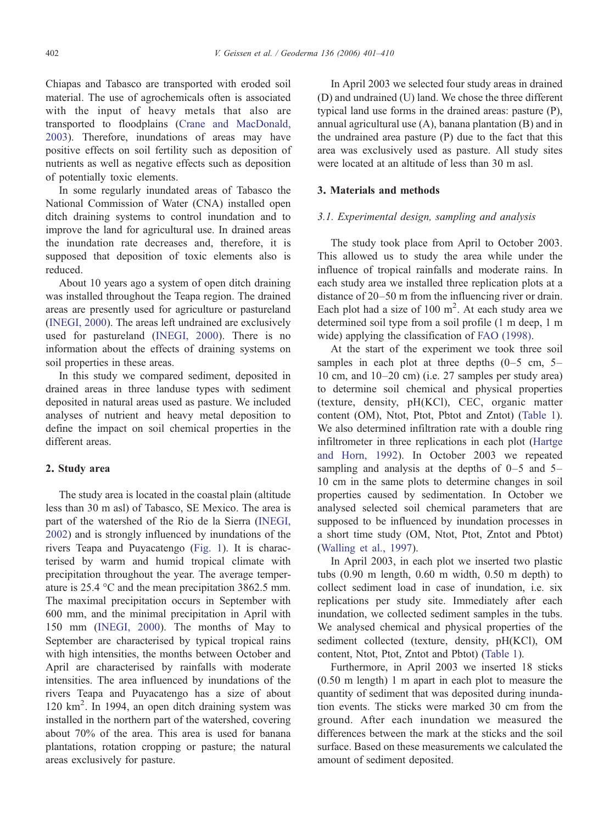Chiapas and Tabasco are transported with eroded soil material. The use of agrochemicals often is associated with the input of heavy metals that also are transported to floodplains [\(Crane and MacDonald,](#page-8-0) [2003](#page-8-0)). Therefore, inundations of areas may have positive effects on soil fertility such as deposition of nutrients as well as negative effects such as deposition of potentially toxic elements.

In some regularly inundated areas of Tabasco the National Commission of Water (CNA) installed open ditch draining systems to control inundation and to improve the land for agricultural use. In drained areas the inundation rate decreases and, therefore, it is supposed that deposition of toxic elements also is reduced.

About 10 years ago a system of open ditch draining was installed throughout the Teapa region. The drained areas are presently used for agriculture or pastureland [\(INEGI, 2000](#page-8-0)). The areas left undrained are exclusively used for pastureland [\(INEGI, 2000](#page-8-0)). There is no information about the effects of draining systems on soil properties in these areas.

In this study we compared sediment, deposited in drained areas in three landuse types with sediment deposited in natural areas used as pasture. We included analyses of nutrient and heavy metal deposition to define the impact on soil chemical properties in the different areas.

#### 2. Study area

The study area is located in the coastal plain (altitude less than 30 m asl) of Tabasco, SE Mexico. The area is part of the watershed of the Rio de la Sierra ([INEGI,](#page-8-0) [2002](#page-8-0)) and is strongly influenced by inundations of the rivers Teapa and Puyacatengo ([Fig. 1](#page-2-0)). It is characterised by warm and humid tropical climate with precipitation throughout the year. The average temperature is 25.4 °C and the mean precipitation 3862.5 mm. The maximal precipitation occurs in September with 600 mm, and the minimal precipitation in April with 150 mm [\(INEGI, 2000](#page-8-0)). The months of May to September are characterised by typical tropical rains with high intensities, the months between October and April are characterised by rainfalls with moderate intensities. The area influenced by inundations of the rivers Teapa and Puyacatengo has a size of about 120 km<sup>2</sup> . In 1994, an open ditch draining system was installed in the northern part of the watershed, covering about 70% of the area. This area is used for banana plantations, rotation cropping or pasture; the natural areas exclusively for pasture.

In April 2003 we selected four study areas in drained (D) and undrained (U) land. We chose the three different typical land use forms in the drained areas: pasture (P), annual agricultural use (A), banana plantation (B) and in the undrained area pasture (P) due to the fact that this area was exclusively used as pasture. All study sites were located at an altitude of less than 30 m asl.

#### 3. Materials and methods

#### 3.1. Experimental design, sampling and analysis

The study took place from April to October 2003. This allowed us to study the area while under the influence of tropical rainfalls and moderate rains. In each study area we installed three replication plots at a distance of 20–50 m from the influencing river or drain. Each plot had a size of  $100 \text{ m}^2$ . At each study area we determined soil type from a soil profile (1 m deep, 1 m wide) applying the classification of [FAO \(1998\)](#page-8-0).

At the start of the experiment we took three soil samples in each plot at three depths  $(0-5 \text{ cm}, 5-$ 10 cm, and 10–20 cm) (i.e. 27 samples per study area) to determine soil chemical and physical properties (texture, density, pH(KCl), CEC, organic matter content (OM), Ntot, Ptot, Pbtot and Zntot) ([Table 1\)](#page-3-0). We also determined infiltration rate with a double ring infiltrometer in three replications in each plot ([Hartge](#page-8-0) [and Horn, 1992\)](#page-8-0). In October 2003 we repeated sampling and analysis at the depths of  $0-5$  and  $5-$ 10 cm in the same plots to determine changes in soil properties caused by sedimentation. In October we analysed selected soil chemical parameters that are supposed to be influenced by inundation processes in a short time study (OM, Ntot, Ptot, Zntot and Pbtot) [\(Walling et al., 1997\)](#page-9-0).

In April 2003, in each plot we inserted two plastic tubs (0.90 m length, 0.60 m width, 0.50 m depth) to collect sediment load in case of inundation, i.e. six replications per study site. Immediately after each inundation, we collected sediment samples in the tubs. We analysed chemical and physical properties of the sediment collected (texture, density, pH(KCl), OM content, Ntot, Ptot, Zntot and Pbtot) [\(Table 1](#page-3-0)).

Furthermore, in April 2003 we inserted 18 sticks (0.50 m length) 1 m apart in each plot to measure the quantity of sediment that was deposited during inundation events. The sticks were marked 30 cm from the ground. After each inundation we measured the differences between the mark at the sticks and the soil surface. Based on these measurements we calculated the amount of sediment deposited.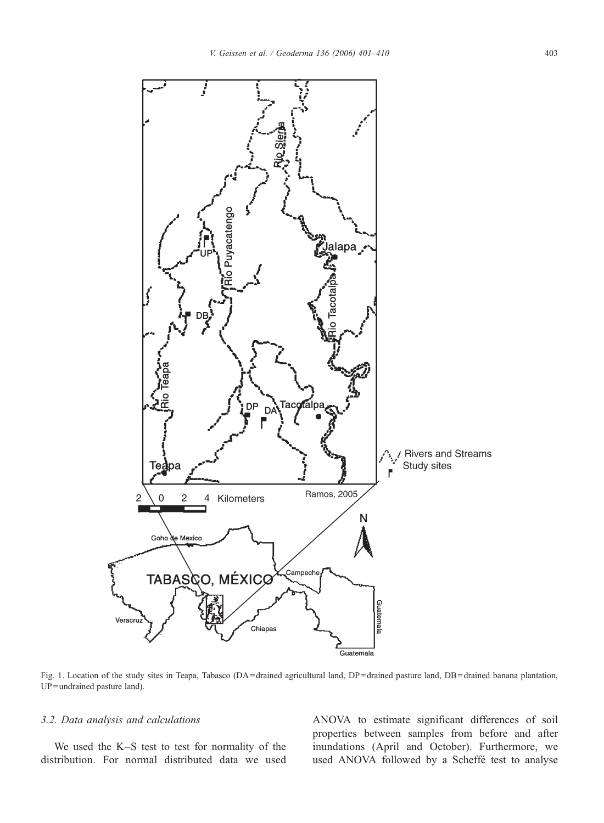<span id="page-2-0"></span>

Fig. 1. Location of the study sites in Teapa, Tabasco (DA = drained agricultural land, DP = drained pasture land, DB = drained banana plantation, UP = undrained pasture land).

#### 3.2. Data analysis and calculations

We used the K–S test to test for normality of the distribution. For normal distributed data we used

ANOVA to estimate significant differences of soil properties between samples from before and after inundations (April and October). Furthermore, we used ANOVA followed by a Scheffé test to analyse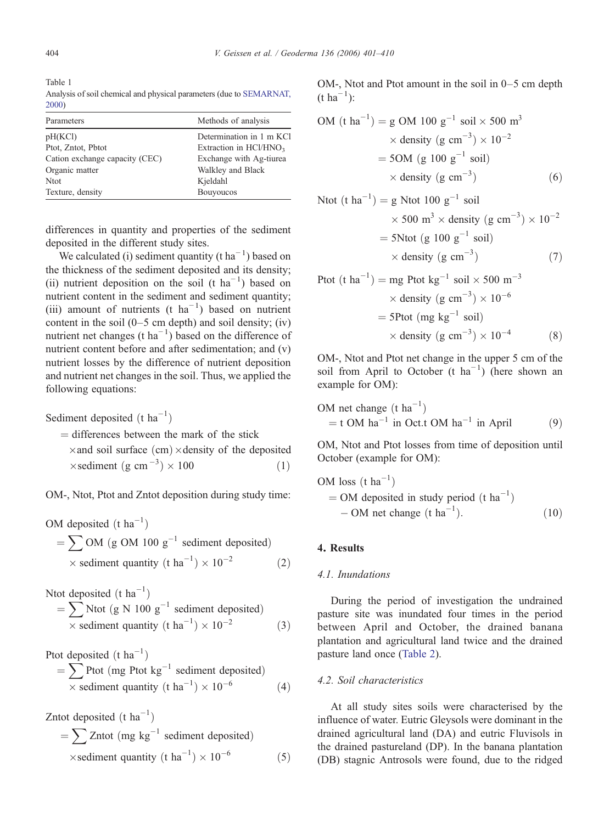<span id="page-3-0"></span>

Table 1 Analysis of soil chemical and physical parameters (due to [SEMARNAT,](#page-9-0) [2000\)](#page-9-0)

| Parameters                     | Methods of analysis      |
|--------------------------------|--------------------------|
| pH(KCl)                        | Determination in 1 m KCI |
| Ptot, Zntot, Pbtot             | Extraction in $HC1/HNO3$ |
| Cation exchange capacity (CEC) | Exchange with Ag-tiurea  |
| Organic matter                 | Walkley and Black        |
| <b>Ntot</b>                    | Kjeldahl                 |
| Texture, density               | <b>Bouyoucos</b>         |

differences in quantity and properties of the sediment deposited in the different study sites.

We calculated (i) sediment quantity (t  $ha^{-1}$ ) based on the thickness of the sediment deposited and its density; (ii) nutrient deposition on the soil (t ha<sup>-1</sup>) based on nutrient content in the sediment and sediment quantity; (iii) amount of nutrients (t  $ha^{-1}$ ) based on nutrient content in the soil  $(0-5 \text{ cm depth})$  and soil density; (iv) nutrient net changes (t ha<sup>-1</sup>) based on the difference of nutrient content before and after sedimentation; and (v) nutrient losses by the difference of nutrient deposition and nutrient net changes in the soil. Thus, we applied the following equations:

Sediment deposited  $(t \text{ ha}^{-1})$ 

 $=$  differences between the mark of the stick  $\times$  and soil surface (cm)  $\times$  density of the deposited  $\times$  sediment (g cm<sup>-3</sup>)  $\times$  100 (1)

OM-, Ntot, Ptot and Zntot deposition during study time:

OM deposited  $(t \text{ ha}^{-1})$  $=\sum$  OM (g OM 100  $g^{-1}$  sediment deposited)  $\times$  sediment quantity (t ha<sup>-1</sup>)  $\times$  10<sup>-1</sup>  $(2)$ 

Ntot deposited  $(t \text{ ha}^{-1})$ 

$$
= \sum \text{Ntot (g N 100 g}^{-1} \text{ sediment deposited})
$$
  
× sediment quantity (t ha<sup>-1</sup>) × 10<sup>-2</sup> (3)

Ptot deposited  $(t \text{ ha}^{-1})$ 

$$
= \sum \text{Prot (mg Ptot kg}^{-1} \text{ sediment deposited})
$$
  
× sediment quantity (t ha<sup>-1</sup>) × 10<sup>-6</sup> (4)

Zntot deposited  $(t \text{ ha}^{-1})$  $=\sum Zntot (mg kg^{-1} sediment$  deposited)  $\times$  sediment quantity (t ha<sup>-1</sup>)  $\times$  10<sup>-</sup>  $(5)$  OM-, Ntot and Ptot amount in the soil in 0–5 cm depth  $(t \, ha^{-1})$ :

OM ðt ha-1 Þ ¼ g OM 100 g-<sup>1</sup> soil 500 m3 density ðg cm-3 Þ 10-2 ¼ 5OM ðg 100 g-<sup>1</sup> soil<sup>Þ</sup> density ðg cm-3 Þ ð6Þ

Not (t ha<sup>-1</sup>) = g

\nNot 100 g<sup>-1</sup> soil

\n
$$
\times 500 \, \text{m}^3 \times \text{density (g cm}^{-3}) \times 10^{-2}
$$
\n
$$
= 5 \text{N} \text{tot (g 100 g-1 soil)}
$$
\n
$$
\times \text{ density (g cm-3)} \tag{7}
$$

Prot (t ha<sup>-1</sup>) = mg Ptot kg<sup>-1</sup> soil × 500 m<sup>-3</sup>

\n
$$
\times
$$
 density (g cm<sup>-3</sup>) × 10<sup>-6</sup>

\n= 5Ptot (mg kg<sup>-1</sup> soil)

\n
$$
\times
$$
 density (g cm<sup>-3</sup>) × 10<sup>-4</sup>

\n(8)

OM-, Ntot and Ptot net change in the upper 5 cm of the soil from April to October (t  $ha^{-1}$ ) (here shown an example for OM):

OM net change ðt ha-1 Þ ¼ t OM ha-<sup>1</sup> in Oct:t OM ha-<sup>1</sup> in April <sup>ð</sup>9<sup>Þ</sup>

OM, Ntot and Ptot losses from time of deposition until October (example for OM):

OM loss ðt ha-1 Þ ¼ OM deposited in study period ðt ha-1 Þ - OM net change ðt ha-1 Þ: ð10Þ

## 4. Results

#### 4.1. Inundations

During the period of investigation the undrained pasture site was inundated four times in the period between April and October, the drained banana plantation and agricultural land twice and the drained pasture land once ([Table 2](#page-4-0)).

#### 4.2. Soil characteristics

At all study sites soils were characterised by the influence of water. Eutric Gleysols were dominant in the drained agricultural land (DA) and eutric Fluvisols in the drained pastureland (DP). In the banana plantation (DB) stagnic Antrosols were found, due to the ridged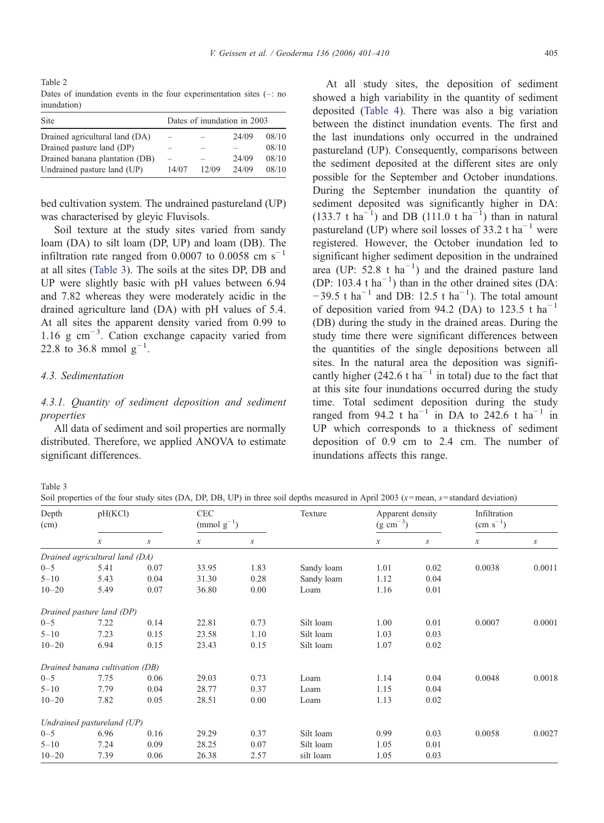<span id="page-4-0"></span>Table 2 Dates of inundation events in the four experimentation sites  $(-\cdot)$  no inundation)

| Site                           | Dates of inundation in 2003 |       |       |       |  |  |  |  |
|--------------------------------|-----------------------------|-------|-------|-------|--|--|--|--|
| Drained agricultural land (DA) | $\overline{\phantom{0}}$    |       | 24/09 | 08/10 |  |  |  |  |
| Drained pasture land (DP)      | $\overline{\phantom{a}}$    |       |       | 08/10 |  |  |  |  |
| Drained banana plantation (DB) |                             |       | 24/09 | 08/10 |  |  |  |  |
| Undrained pasture land (UP)    | 14/07                       | 12/09 | 24/09 | 08/10 |  |  |  |  |

bed cultivation system. The undrained pastureland (UP) was characterised by gleyic Fluvisols.

Soil texture at the study sites varied from sandy loam (DA) to silt loam (DP, UP) and loam (DB). The infiltration rate ranged from 0.0007 to 0.0058 cm s<sup>−1</sup> at all sites (Table 3). The soils at the sites DP, DB and UP were slightly basic with pH values between 6.94 and 7.82 whereas they were moderately acidic in the drained agriculture land (DA) with pH values of 5.4. At all sites the apparent density varied from 0.99 to 1.16 g cm−<sup>3</sup> . Cation exchange capacity varied from 22.8 to 36.8 mmol  $g^{-1}$ .

## 4.3. Sedimentation

# 4.3.1. Quantity of sediment deposition and sediment properties

All data of sediment and soil properties are normally distributed. Therefore, we applied ANOVA to estimate significant differences.

At all study sites, the deposition of sediment showed a high variability in the quantity of sediment deposited [\(Table 4](#page-5-0)). There was also a big variation between the distinct inundation events. The first and the last inundations only occurred in the undrained pastureland (UP). Consequently, comparisons between the sediment deposited at the different sites are only possible for the September and October inundations. During the September inundation the quantity of sediment deposited was significantly higher in DA:  $(133.7 \text{ t} \text{ ha}^{-1})$  and DB  $(111.0 \text{ t} \text{ ha}^{-1})$  than in natural pastureland (UP) where soil losses of 33.2 t ha<sup> $-1$ </sup> were registered. However, the October inundation led to significant higher sediment deposition in the undrained area (UP:  $52.8 \text{ t} \text{ ha}^{-1}$ ) and the drained pasture land (DP: 103.4 t  $ha^{-1}$ ) than in the other drained sites (DA:  $-39.5$  t ha<sup>-1</sup> and DB: 12.5 t ha<sup>-1</sup>). The total amount of deposition varied from 94.2 (DA) to 123.5 t ha<sup>-1</sup> (DB) during the study in the drained areas. During the study time there were significant differences between the quantities of the single depositions between all sites. In the natural area the deposition was significantly higher (242.6 t ha<sup>-1</sup> in total) due to the fact that at this site four inundations occurred during the study time. Total sediment deposition during the study ranged from 94.2 t ha<sup>-1</sup> in DA to 242.6 t ha<sup>-1</sup> in UP which corresponds to a thickness of sediment deposition of 0.9 cm to 2.4 cm. The number of inundations affects this range.

Table 3

Soil properties of the four study sites (DA, DP, DB, UP) in three soil depths measured in April 2003 ( $x$ =mean,  $s$ =standard deviation)

| Depth<br>(cm) | pH(KCl)                         |                  | <b>CEC</b><br>(mmol $g^{-1}$ ) |                  | Texture    | Apparent density<br>$(g \text{ cm}^{-3})$ |      | Infiltration<br>$\text{(cm s}^{-1})$ |                  |
|---------------|---------------------------------|------------------|--------------------------------|------------------|------------|-------------------------------------------|------|--------------------------------------|------------------|
|               | $\boldsymbol{\mathcal{X}}$      | $\boldsymbol{S}$ | $\boldsymbol{x}$               | $\boldsymbol{S}$ |            | $\boldsymbol{x}$                          | S    | $\boldsymbol{\chi}$                  | $\boldsymbol{S}$ |
|               | Drained agricultural land (DA)  |                  |                                |                  |            |                                           |      |                                      |                  |
| $0 - 5$       | 5.41                            | 0.07             | 33.95                          | 1.83             | Sandy loam | 1.01                                      | 0.02 | 0.0038                               | 0.0011           |
| $5 - 10$      | 5.43                            | 0.04             | 31.30                          | 0.28             | Sandy loam | 1.12                                      | 0.04 |                                      |                  |
| $10 - 20$     | 5.49                            | 0.07             | 36.80                          | 0.00             | Loam       | 1.16                                      | 0.01 |                                      |                  |
|               | Drained pasture land (DP)       |                  |                                |                  |            |                                           |      |                                      |                  |
| $0 - 5$       | 7.22                            | 0.14             | 22.81                          | 0.73             | Silt loam  | 1.00                                      | 0.01 | 0.0007                               | 0.0001           |
| $5 - 10$      | 7.23                            | 0.15             | 23.58                          | 1.10             | Silt loam  | 1.03                                      | 0.03 |                                      |                  |
| $10 - 20$     | 6.94                            | 0.15             | 23.43                          | 0.15             | Silt loam  | 1.07                                      | 0.02 |                                      |                  |
|               | Drained banana cultivation (DB) |                  |                                |                  |            |                                           |      |                                      |                  |
| $0 - 5$       | 7.75                            | 0.06             | 29.03                          | 0.73             | Loam       | 1.14                                      | 0.04 | 0.0048                               | 0.0018           |
| $5 - 10$      | 7.79                            | 0.04             | 28.77                          | 0.37             | Loam       | 1.15                                      | 0.04 |                                      |                  |
| $10 - 20$     | 7.82                            | 0.05             | 28.51                          | 0.00             | Loam       | 1.13                                      | 0.02 |                                      |                  |
|               | Undrained pastureland (UP)      |                  |                                |                  |            |                                           |      |                                      |                  |
| $0 - 5$       | 6.96                            | 0.16             | 29.29                          | 0.37             | Silt loam  | 0.99                                      | 0.03 | 0.0058                               | 0.0027           |
| $5 - 10$      | 7.24                            | 0.09             | 28.25                          | 0.07             | Silt loam  | 1.05                                      | 0.01 |                                      |                  |
| $10 - 20$     | 7.39                            | 0.06             | 26.38                          | 2.57             | silt loam  | 1.05                                      | 0.03 |                                      |                  |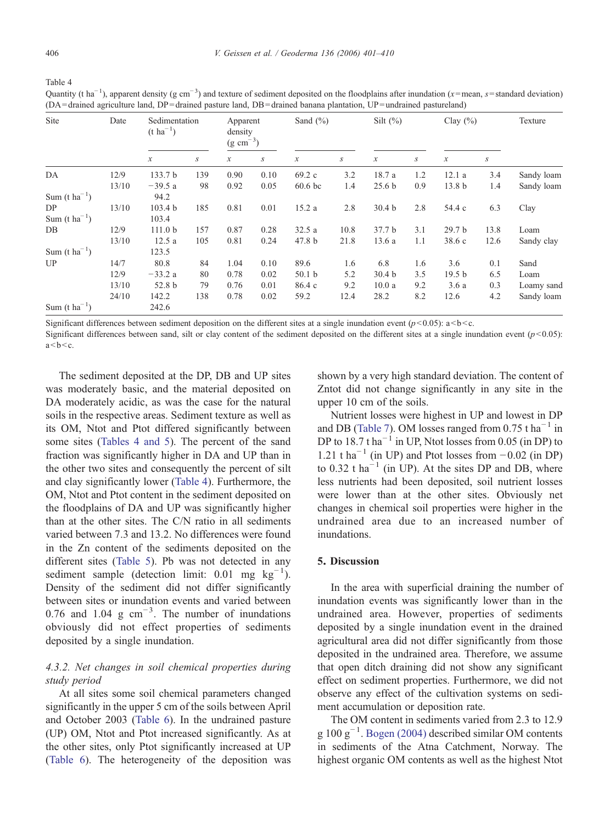<span id="page-5-0"></span>

| ۰,          |             |
|-------------|-------------|
| I<br>$\sim$ | I<br>×<br>٧ |

Table 4

Site Date Sedimentation  $(t \text{ ha}^{-1})$ Apparent density  $(g \text{ cm}^{-3})$ Sand  $(^{\circ}\!\!/\circ)$  Silt  $(^{\circ}\!\!/\circ)$  Clay  $(^{\circ}\!\!/\circ)$  Texture  $x$  s x s x s x s x s DA 12/9 133.7 b 139 0.90 0.10 69.2 c 3.2 18.7 a 1.2 12.1 a 3.4 Sandy loam 13/10 −39.5 a 98 0.92 0.05 60.6 bc 1.4 25.6 b 0.9 13.8 b 1.4 Sandy loam Sum (t ha<sup> $-1$ </sup>) ) 94.2 DP 13/10 103.4 b 185 0.81 0.01 15.2 a 2.8 30.4 b 2.8 54.4 c 6.3 Clay Sum (t ha<sup>-1</sup>) ) 103.4 DB 12/9 111.0 b 157 0.87 0.28 32.5 a 10.8 37.7 b 3.1 29.7 b 13.8 Loam 13/10 12.5 a 105 0.81 0.24 47.8 b 21.8 13.6 a 1.1 38.6 c 12.6 Sandy clay Sum (t ha<sup> $-1$ </sup>) ) 123.5 UP 14/7 80.8 84 1.04 0.10 89.6 1.6 6.8 1.6 3.6 0.1 Sand 12/9 −33.2 a 80 0.78 0.02 50.1 b 5.2 30.4 b 3.5 19.5 b 6.5 Loam 13/10 52.8 b 79 0.76 0.01 86.4 c 9.2 10.0 a 9.2 3.6 a 0.3 Loamy sand 24/10 142.2 138 0.78 0.02 59.2 12.4 28.2 8.2 12.6 4.2 Sandy loam Sum (t ha<sup>-1</sup>) ) 242.6

Quantity (t ha<sup>-1</sup>), apparent density (g cm<sup>-3</sup>) and texture of sediment deposited on the floodplains after inundation (x=mean, s=standard deviation) (DA = drained agriculture land, DP = drained pasture land, DB = drained banana plantation, UP = undrained pastureland)

Significant differences between sediment deposition on the different sites at a single inundation event ( $p$ <0.05):  $a$ <br/> $\leq$  a.

Significant differences between sand, silt or clay content of the sediment deposited on the different sites at a single inundation event  $(p<0.05)$ :  $a < b < c$ .

The sediment deposited at the DP, DB and UP sites was moderately basic, and the material deposited on DA moderately acidic, as was the case for the natural soils in the respective areas. Sediment texture as well as its OM, Ntot and Ptot differed significantly between some sites (Tables 4 and 5). The percent of the sand fraction was significantly higher in DA and UP than in the other two sites and consequently the percent of silt and clay significantly lower (Table 4). Furthermore, the OM, Ntot and Ptot content in the sediment deposited on the floodplains of DA and UP was significantly higher than at the other sites. The C/N ratio in all sediments varied between 7.3 and 13.2. No differences were found in the Zn content of the sediments deposited on the different sites ([Table 5\)](#page-6-0). Pb was not detected in any sediment sample (detection limit:  $0.01$  mg kg<sup>-1</sup>). Density of the sediment did not differ significantly between sites or inundation events and varied between 0.76 and 1.04  $g \text{ cm}^{-3}$ . The number of inundations obviously did not effect properties of sediments deposited by a single inundation.

# 4.3.2. Net changes in soil chemical properties during study period

At all sites some soil chemical parameters changed significantly in the upper 5 cm of the soils between April and October 2003 [\(Table 6\)](#page-6-0). In the undrained pasture (UP) OM, Ntot and Ptot increased significantly. As at the other sites, only Ptot significantly increased at UP [\(Table 6\)](#page-6-0). The heterogeneity of the deposition was shown by a very high standard deviation. The content of Zntot did not change significantly in any site in the upper 10 cm of the soils.

Nutrient losses were highest in UP and lowest in DP and DB [\(Table 7](#page-7-0)). OM losses ranged from 0.75 t ha<sup> $-1$ </sup> in DP to 18.7 t ha<sup> $-1$ </sup> in UP, Ntot losses from 0.05 (in DP) to 1.21 t ha<sup> $-1$ </sup> (in UP) and Ptot losses from  $-0.02$  (in DP) to 0.32 t ha<sup> $-1$ </sup> (in UP). At the sites DP and DB, where less nutrients had been deposited, soil nutrient losses were lower than at the other sites. Obviously net changes in chemical soil properties were higher in the undrained area due to an increased number of inundations.

#### 5. Discussion

In the area with superficial draining the number of inundation events was significantly lower than in the undrained area. However, properties of sediments deposited by a single inundation event in the drained agricultural area did not differ significantly from those deposited in the undrained area. Therefore, we assume that open ditch draining did not show any significant effect on sediment properties. Furthermore, we did not observe any effect of the cultivation systems on sediment accumulation or deposition rate.

The OM content in sediments varied from 2.3 to 12.9 g 100  $g^{-1}$ . [Bogen \(2004\)](#page-8-0) described similar OM contents in sediments of the Atna Catchment, Norway. The highest organic OM contents as well as the highest Ntot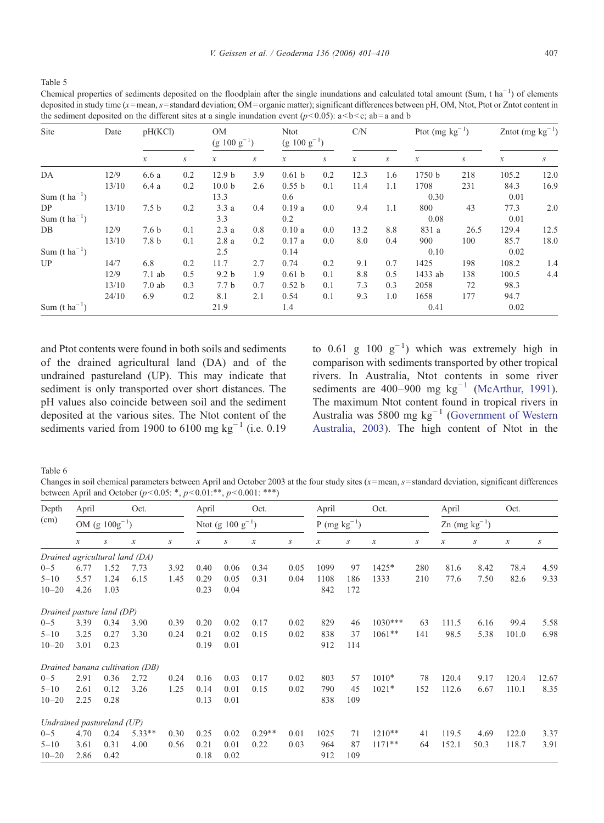<span id="page-6-0"></span>Table 5

Chemical properties of sediments deposited on the floodplain after the single inundations and calculated total amount (Sum, t ha<sup>-1</sup>) of elements deposited in study time (x=mean, s=standard deviation; OM=organic matter); significant differences between pH, OM, Ntot, Ptot or Zntot content in the sediment deposited on the different sites at a single inundation event  $(p<0.05)$ :  $a< b< c$ ; ab = a and b

| Site                      | Date  | pH(KCl)          |     | <b>OM</b><br>$(g 100 g^{-1})$ |     | <b>Ntot</b><br>$(g 100 g^{-1})$ |                  | C/N              |                  | Ptot $(mg kg^{-1})$ |      | Zntot (mg $kg^{-1}$ )      |                  |
|---------------------------|-------|------------------|-----|-------------------------------|-----|---------------------------------|------------------|------------------|------------------|---------------------|------|----------------------------|------------------|
|                           |       | $\mathcal{X}$    | S   | $\boldsymbol{\chi}$           | S   | $\boldsymbol{\chi}$             | $\boldsymbol{S}$ | $\boldsymbol{x}$ | $\boldsymbol{S}$ | $\boldsymbol{\chi}$ | S    | $\boldsymbol{\mathcal{X}}$ | $\boldsymbol{S}$ |
| DA                        | 12/9  | 6.6 a            | 0.2 | 12.9 <sub>b</sub>             | 3.9 | 0.61 <sub>b</sub>               | 0.2              | 12.3             | 1.6              | 1750 b              | 218  | 105.2                      | 12.0             |
|                           | 13/10 | 6.4 a            | 0.2 | 10.0 <sub>b</sub>             | 2.6 | 0.55 b                          | 0.1              | 11.4             | 1.1              | 1708                | 231  | 84.3                       | 16.9             |
| Sum $(t \text{ ha}^{-1})$ |       |                  |     | 13.3                          |     | 0.6                             |                  |                  |                  | 0.30                |      | 0.01                       |                  |
| DP                        | 13/10 | 7.5 <sub>b</sub> | 0.2 | 3.3a                          | 0.4 | 0.19a                           | 0.0              | 9.4              | 1.1              | 800                 | 43   | 77.3                       | 2.0              |
| Sum $(t \text{ ha}^{-1})$ |       |                  |     | 3.3                           |     | 0.2                             |                  |                  |                  | 0.08                |      | 0.01                       |                  |
| DB                        | 12/9  | 7.6 <sub>b</sub> | 0.1 | 2.3a                          | 0.8 | 0.10a                           | 0.0              | 13.2             | 8.8              | 831 a               | 26.5 | 129.4                      | 12.5             |
|                           | 13/10 | 7.8 b            | 0.1 | 2.8a                          | 0.2 | 0.17a                           | 0.0              | 8.0              | 0.4              | 900                 | 100  | 85.7                       | 18.0             |
| Sum $(t \text{ ha}^{-1})$ |       |                  |     | 2.5                           |     | 0.14                            |                  |                  |                  | 0.10                |      | 0.02                       |                  |
| UP                        | 14/7  | 6.8              | 0.2 | 11.7                          | 2.7 | 0.74                            | 0.2              | 9.1              | 0.7              | 1425                | 198  | 108.2                      | 1.4              |
|                           | 12/9  | $7.1$ ab         | 0.5 | 9.2 <sub>b</sub>              | 1.9 | 0.61 <sub>b</sub>               | 0.1              | 8.8              | 0.5              | 1433 ab             | 138  | 100.5                      | 4.4              |
|                           | 13/10 | $7.0$ ab         | 0.3 | 7.7 <sub>b</sub>              | 0.7 | 0.52 <sub>b</sub>               | 0.1              | 7.3              | 0.3              | 2058                | 72   | 98.3                       |                  |
|                           | 24/10 | 6.9              | 0.2 | 8.1                           | 2.1 | 0.54                            | 0.1              | 9.3              | 1.0              | 1658                | 177  | 94.7                       |                  |
| Sum $(t \text{ ha}^{-1})$ |       |                  |     | 21.9                          |     | 1.4                             |                  |                  |                  | 0.41                |      | 0.02                       |                  |

and Ptot contents were found in both soils and sediments of the drained agricultural land (DA) and of the undrained pastureland (UP). This may indicate that sediment is only transported over short distances. The pH values also coincide between soil and the sediment deposited at the various sites. The Ntot content of the sediments varied from 1900 to 6100 mg kg<sup>-1</sup> (i.e. 0.19

to 0.61 g 100  $g^{-1}$ ) which was extremely high in comparison with sediments transported by other tropical rivers. In Australia, Ntot contents in some river sediments are 400–900 mg  $kg^{-1}$  ([McArthur, 1991](#page-8-0)). The maximum Ntot content found in tropical rivers in Australia was 5800 mg kg−<sup>1</sup> [\(Government of Western](#page-8-0) [Australia, 2003\)](#page-8-0). The high content of Ntot in the

Table 6

Changes in soil chemical parameters between April and October 2003 at the four study sites  $(x=mean, s=standard deviation, significant differences)$ between April and October  $(p<0.05: *, p<0.01: **, p<0.001: ***)$ 

| Depth                          | April               |                  | Oct.                            |      | April                  | Oct. |                  | April            | Oct.                |     |                     | Oct.<br>April                      |                     |      |                     |                  |
|--------------------------------|---------------------|------------------|---------------------------------|------|------------------------|------|------------------|------------------|---------------------|-----|---------------------|------------------------------------|---------------------|------|---------------------|------------------|
| (cm)                           | OM (g $100g^{-1}$ ) |                  |                                 |      | Ntot (g $100 g^{-1}$ ) |      |                  |                  | P (mg $kg^{-1}$ )   |     |                     | $\text{Zn}$ (mg kg <sup>-1</sup> ) |                     |      |                     |                  |
|                                | $\mathcal{X}$       | $\boldsymbol{S}$ | $\boldsymbol{\mathcal{X}}$      | S    | $\boldsymbol{x}$       | S    | $\boldsymbol{x}$ | $\boldsymbol{S}$ | $\boldsymbol{\chi}$ | S   | $\boldsymbol{\chi}$ | $\boldsymbol{S}$                   | $\boldsymbol{\chi}$ | S    | $\boldsymbol{\chi}$ | $\boldsymbol{S}$ |
| Drained agricultural land (DA) |                     |                  |                                 |      |                        |      |                  |                  |                     |     |                     |                                    |                     |      |                     |                  |
| $0 - 5$                        | 6.77                | 1.52             | 7.73                            | 3.92 | 0.40                   | 0.06 | 0.34             | 0.05             | 1099                | 97  | $1425*$             | 280                                | 81.6                | 8.42 | 78.4                | 4.59             |
| $5 - 10$                       | 5.57                | 1.24             | 6.15                            | 1.45 | 0.29                   | 0.05 | 0.31             | 0.04             | 1108                | 186 | 1333                | 210                                | 77.6                | 7.50 | 82.6                | 9.33             |
| $10 - 20$                      | 4.26                | 1.03             |                                 |      | 0.23                   | 0.04 |                  |                  | 842                 | 172 |                     |                                    |                     |      |                     |                  |
| Drained pasture land (DP)      |                     |                  |                                 |      |                        |      |                  |                  |                     |     |                     |                                    |                     |      |                     |                  |
| $0 - 5$                        | 3.39                | 0.34             | 3.90                            | 0.39 | 0.20                   | 0.02 | 0.17             | 0.02             | 829                 | 46  | $1030***$           | 63                                 | 111.5               | 6.16 | 99.4                | 5.58             |
| $5 - 10$                       | 3.25                | 0.27             | 3.30                            | 0.24 | 0.21                   | 0.02 | 0.15             | 0.02             | 838                 | 37  | $1061**$            | 141                                | 98.5                | 5.38 | 101.0               | 6.98             |
| $10 - 20$                      | 3.01                | 0.23             |                                 |      | 0.19                   | 0.01 |                  |                  | 912                 | 114 |                     |                                    |                     |      |                     |                  |
|                                |                     |                  | Drained banana cultivation (DB) |      |                        |      |                  |                  |                     |     |                     |                                    |                     |      |                     |                  |
| $0 - 5$                        | 2.91                | 0.36             | 2.72                            | 0.24 | 0.16                   | 0.03 | 0.17             | 0.02             | 803                 | 57  | $1010*$             | 78                                 | 120.4               | 9.17 | 120.4               | 12.67            |
| $5 - 10$                       | 2.61                | 0.12             | 3.26                            | 1.25 | 0.14                   | 0.01 | 0.15             | 0.02             | 790                 | 45  | $1021*$             | 152                                | 112.6               | 6.67 | 110.1               | 8.35             |
| $10 - 20$                      | 2.25                | 0.28             |                                 |      | 0.13                   | 0.01 |                  |                  | 838                 | 109 |                     |                                    |                     |      |                     |                  |
| Undrained pastureland (UP)     |                     |                  |                                 |      |                        |      |                  |                  |                     |     |                     |                                    |                     |      |                     |                  |
| $0 - 5$                        | 4.70                | 0.24             | $5.33**$                        | 0.30 | 0.25                   | 0.02 | $0.29**$         | 0.01             | 1025                | 71  | $1210**$            | 41                                 | 119.5               | 4.69 | 122.0               | 3.37             |
| $5 - 10$                       | 3.61                | 0.31             | 4.00                            | 0.56 | 0.21                   | 0.01 | 0.22             | 0.03             | 964                 | 87  | $1171***$           | 64                                 | 152.1               | 50.3 | 118.7               | 3.91             |
| $10 - 20$                      | 2.86                | 0.42             |                                 |      | 0.18                   | 0.02 |                  |                  | 912                 | 109 |                     |                                    |                     |      |                     |                  |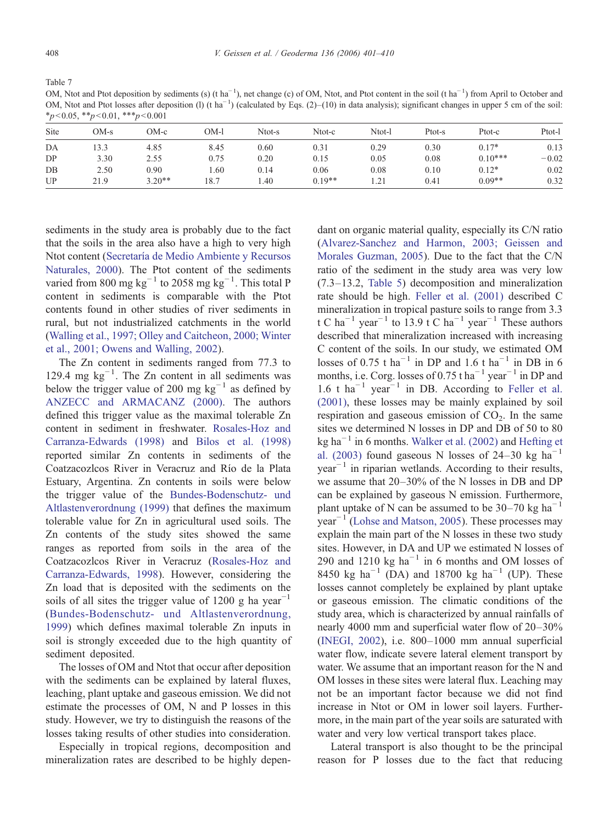<span id="page-7-0"></span>Table 7

OM, Ntot and Ptot deposition by sediments (s) (t ha<sup>-1</sup>), net change (c) of OM, Ntot, and Ptot content in the soil (t ha<sup>-1</sup>) from April to October and OM, Ntot and Ptot losses after deposition (1) (t ha<sup>-1</sup>) (calculated by Eqs. (2)–(10) in data analysis); significant changes in upper 5 cm of the soil:  $*_p$ <0.05,  $*_p$ <0.01,  $**_p$ <0.001

| Site | OM-s | OM-c     | OM-l | Ntot-s | Ntot-c   | Ntot-l | Ptot-s | Ptot-c    | Ptot-1  |
|------|------|----------|------|--------|----------|--------|--------|-----------|---------|
| DA   | 13.3 | 4.85     | 8.45 | 0.60   | 0.31     | 0.29   | 0.30   | $0.17*$   | 0.13    |
| DP   | 3.30 | 2.55     | 0.75 | 0.20   | 0.15     | 0.05   | 0.08   | $0.10***$ | $-0.02$ |
| $DB$ | 2.50 | 0.90     | 1.60 | 0.14   | 0.06     | 0.08   | 0.10   | $0.12*$   | 0.02    |
| UP   | 21.9 | $3.20**$ | 18.7 | . 40   | $0.19**$ | 1.21   | 0.41   | $0.09**$  | 0.32    |

sediments in the study area is probably due to the fact that the soils in the area also have a high to very high Ntot content ([Secretaría de Medio Ambiente y Recursos](#page-9-0) [Naturales, 2000](#page-9-0)). The Ptot content of the sediments varied from 800 mg  $\text{kg}^{-1}$  to 2058 mg  $\text{kg}^{-1}$ . This total P content in sediments is comparable with the Ptot contents found in other studies of river sediments in rural, but not industrialized catchments in the world [\(Walling et al., 1997; Olley and Caitcheon, 2000; Winter](#page-9-0) [et al., 2001; Owens and Walling, 2002](#page-9-0)).

The Zn content in sediments ranged from 77.3 to 129.4 mg kg−<sup>1</sup> . The Zn content in all sediments was below the trigger value of 200 mg  $kg^{-1}$  as defined by [ANZECC and ARMACANZ \(2000\).](#page-8-0) The authors defined this trigger value as the maximal tolerable Zn content in sediment in freshwater. [Rosales-Hoz and](#page-9-0) [Carranza-Edwards \(1998\)](#page-9-0) and [Bilos et al. \(1998\)](#page-8-0) reported similar Zn contents in sediments of the Coatzacozlcos River in Veracruz and Río de la Plata Estuary, Argentina. Zn contents in soils were below the trigger value of the [Bundes-Bodenschutz- und](#page-8-0) [Altlastenverordnung \(1999\)](#page-8-0) that defines the maximum tolerable value for Zn in agricultural used soils. The Zn contents of the study sites showed the same ranges as reported from soils in the area of the Coatzacozlcos River in Veracruz [\(Rosales-Hoz and](#page-9-0) [Carranza-Edwards, 1998\)](#page-9-0). However, considering the Zn load that is deposited with the sediments on the soils of all sites the trigger value of 1200 g ha year<sup>-1</sup> ([Bundes-Bodenschutz- und Altlastenverordnung,](#page-8-0) [1999](#page-8-0)) which defines maximal tolerable Zn inputs in soil is strongly exceeded due to the high quantity of sediment deposited.

The losses of OM and Ntot that occur after deposition with the sediments can be explained by lateral fluxes, leaching, plant uptake and gaseous emission. We did not estimate the processes of OM, N and P losses in this study. However, we try to distinguish the reasons of the losses taking results of other studies into consideration.

Especially in tropical regions, decomposition and mineralization rates are described to be highly depen-

dant on organic material quality, especially its C/N ratio [\(Alvarez-Sanchez and Harmon, 2003; Geissen and](#page-8-0) [Morales Guzman, 2005\)](#page-8-0). Due to the fact that the C/N ratio of the sediment in the study area was very low (7.3–13.2, [Table 5\)](#page-6-0) decomposition and mineralization rate should be high. [Feller et al. \(2001\)](#page-8-0) described C mineralization in tropical pasture soils to range from 3.3 t C ha<sup>-1</sup> year<sup>-1</sup> to 13.9 t C ha<sup>-1</sup> year<sup>-1</sup> These authors described that mineralization increased with increasing C content of the soils. In our study, we estimated OM losses of 0.75 t  $ha^{-1}$  in DP and 1.6 t  $ha^{-1}$  in DB in 6 months, i.e. Corg. losses of 0.75 t ha<sup> $-1$ </sup> year<sup> $-1$ </sup> in DP and 1.6 t ha<sup> $-1$ </sup> year<sup> $-1$ </sup> in DB. According to [Feller et al.](#page-8-0) [\(2001\),](#page-8-0) these losses may be mainly explained by soil respiration and gaseous emission of  $CO<sub>2</sub>$ . In the same sites we determined N losses in DP and DB of 50 to 80 kg ha<sup> $-1$ </sup> in 6 months. [Walker et al. \(2002\)](#page-9-0) and [Hefting et](#page-8-0) [al. \(2003\)](#page-8-0) found gaseous N losses of 24–30 kg ha<sup>-1</sup>  $year<sup>-1</sup>$  in riparian wetlands. According to their results, we assume that 20–30% of the N losses in DB and DP can be explained by gaseous N emission. Furthermore, plant uptake of N can be assumed to be 30–70 kg  $ha^{-1}$  $year^{-1}$  [\(Lohse and Matson, 2005](#page-8-0)). These processes may explain the main part of the N losses in these two study sites. However, in DA and UP we estimated N losses of 290 and 1210 kg ha<sup> $-1$ </sup> in 6 months and OM losses of 8450 kg ha<sup>-1</sup> (DA) and 18700 kg ha<sup>-1</sup> (UP). These losses cannot completely be explained by plant uptake or gaseous emission. The climatic conditions of the study area, which is characterized by annual rainfalls of nearly 4000 mm and superficial water flow of 20–30% [\(INEGI, 2002](#page-8-0)), i.e. 800–1000 mm annual superficial water flow, indicate severe lateral element transport by water. We assume that an important reason for the N and OM losses in these sites were lateral flux. Leaching may not be an important factor because we did not find increase in Ntot or OM in lower soil layers. Furthermore, in the main part of the year soils are saturated with water and very low vertical transport takes place.

Lateral transport is also thought to be the principal reason for P losses due to the fact that reducing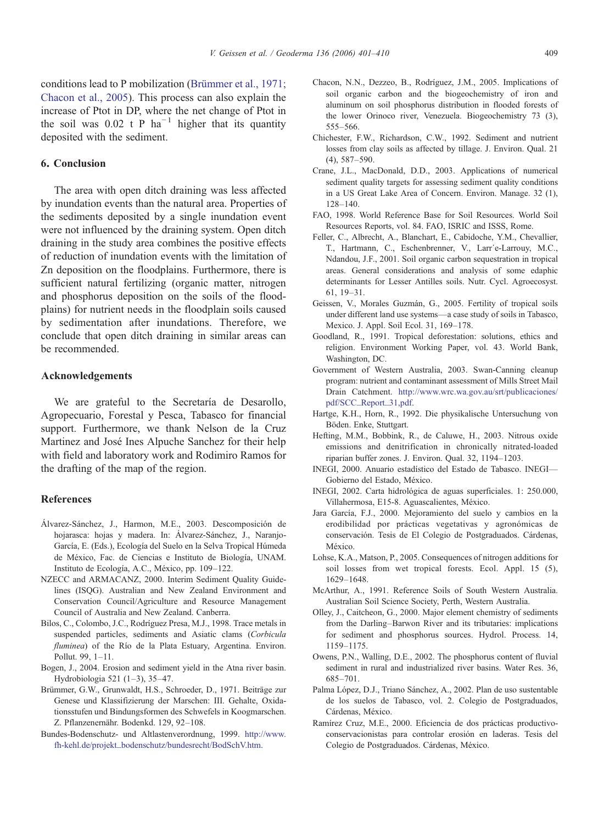<span id="page-8-0"></span>conditions lead to P mobilization (Brümmer et al., 1971; Chacon et al., 2005). This process can also explain the increase of Ptot in DP, where the net change of Ptot in the soil was 0.02 t P ha<sup> $-1$ </sup> higher that its quantity deposited with the sediment.

#### 6. Conclusion

The area with open ditch draining was less affected by inundation events than the natural area. Properties of the sediments deposited by a single inundation event were not influenced by the draining system. Open ditch draining in the study area combines the positive effects of reduction of inundation events with the limitation of Zn deposition on the floodplains. Furthermore, there is sufficient natural fertilizing (organic matter, nitrogen and phosphorus deposition on the soils of the floodplains) for nutrient needs in the floodplain soils caused by sedimentation after inundations. Therefore, we conclude that open ditch draining in similar areas can be recommended.

#### Acknowledgements

We are grateful to the Secretaría de Desarollo, Agropecuario, Forestal y Pesca, Tabasco for financial support. Furthermore, we thank Nelson de la Cruz Martinez and José Ines Alpuche Sanchez for their help with field and laboratory work and Rodimiro Ramos for the drafting of the map of the region.

#### **References**

- Álvarez-Sánchez, J., Harmon, M.E., 2003. Descomposición de hojarasca: hojas y madera. In: Álvarez-Sánchez, J., Naranjo-García, E. (Eds.), Ecología del Suelo en la Selva Tropical Húmeda de México, Fac. de Ciencias e Instituto de Biología, UNAM. Instituto de Ecología, A.C., México, pp. 109–122.
- NZECC and ARMACANZ, 2000. Interim Sediment Quality Guidelines (ISQG). Australian and New Zealand Environment and Conservation Council/Agriculture and Resource Management Council of Australia and New Zealand. Canberra.
- Bilos, C., Colombo, J.C., Rodríguez Presa, M.J., 1998. Trace metals in suspended particles, sediments and Asiatic clams (Corbicula fluminea) of the Río de la Plata Estuary, Argentina. Environ. Pollut. 99, 1–11.
- Bogen, J., 2004. Erosion and sediment yield in the Atna river basin. Hydrobiologia 521 (1–3), 35–47.
- Brümmer, G.W., Grunwaldt, H.S., Schroeder, D., 1971. Beiträge zur Genese und Klassifizierung der Marschen: III. Gehalte, Oxidationsstufen und Bindungsformen des Schwefels in Koogmarschen. Z. Pflanzenernähr. Bodenkd. 129, 92–108.
- Bundes-Bodenschutz- und Altlastenverordnung, 1999. [http://www.](http://www.fhehl.de/projekt_bodenschutz/bundesrecht/BodSchV.htm) [fh-kehl.de/projekt\\_bodenschutz/bundesrecht/BodSchV.htm](http://www.fhehl.de/projekt_bodenschutz/bundesrecht/BodSchV.htm).
- Chacon, N.N., Dezzeo, B., Rodríguez, J.M., 2005. Implications of soil organic carbon and the biogeochemistry of iron and aluminum on soil phosphorus distribution in flooded forests of the lower Orinoco river, Venezuela. Biogeochemistry 73 (3), 555–566.
- Chichester, F.W., Richardson, C.W., 1992. Sediment and nutrient losses from clay soils as affected by tillage. J. Environ. Qual. 21 (4), 587–590.
- Crane, J.L., MacDonald, D.D., 2003. Applications of numerical sediment quality targets for assessing sediment quality conditions in a US Great Lake Area of Concern. Environ. Manage. 32 (1), 128–140.
- FAO, 1998. World Reference Base for Soil Resources. World Soil Resources Reports, vol. 84. FAO, ISRIC and ISSS, Rome.
- Feller, C., Albrecht, A., Blanchart, E., Cabidoche, Y.M., Chevallier, T., Hartmann, C., Eschenbrenner, V., Larr´e-Larrouy, M.C., Ndandou, J.F., 2001. Soil organic carbon sequestration in tropical areas. General considerations and analysis of some edaphic determinants for Lesser Antilles soils. Nutr. Cycl. Agroecosyst. 61, 19–31.
- Geissen, V., Morales Guzmán, G., 2005. Fertility of tropical soils under different land use systems—a case study of soils in Tabasco, Mexico. J. Appl. Soil Ecol. 31, 169–178.
- Goodland, R., 1991. Tropical deforestation: solutions, ethics and religion. Environment Working Paper, vol. 43. World Bank, Washington, DC.
- Government of Western Australia, 2003. Swan-Canning cleanup program: nutrient and contaminant assessment of Mills Street Mail Drain Catchment. [http://www.wrc.wa.gov.au/srt/publicaciones/](http://www.wrc.wa.gov.au/srt/publicaciones/pdf/SCC_Report_31,pdf) [pdf/SCC\\_Report\\_31,pdf](http://www.wrc.wa.gov.au/srt/publicaciones/pdf/SCC_Report_31,pdf).
- Hartge, K.H., Horn, R., 1992. Die physikalische Untersuchung von Böden. Enke, Stuttgart.
- Hefting, M.M., Bobbink, R., de Caluwe, H., 2003. Nitrous oxide emissions and denitrification in chronically nitrated-loaded riparian buffer zones. J. Environ. Qual. 32, 1194–1203.
- INEGI, 2000. Anuario estadístico del Estado de Tabasco. INEGI— Gobierno del Estado, México.
- INEGI, 2002. Carta hidrológica de aguas superficiales. 1: 250.000, Villahermosa, E15-8. Aguascalientes, México.
- Jara García, F.J., 2000. Mejoramiento del suelo y cambios en la erodibilidad por prácticas vegetativas y agronómicas de conservación. Tesis de El Colegio de Postgraduados. Cárdenas, México.
- Lohse, K.A., Matson, P., 2005. Consequences of nitrogen additions for soil losses from wet tropical forests. Ecol. Appl. 15 (5), 1629–1648.
- McArthur, A., 1991. Reference Soils of South Western Australia. Australian Soil Science Society, Perth, Western Australia.
- Olley, J., Caitcheon, G., 2000. Major element chemistry of sediments from the Darling–Barwon River and its tributaries: implications for sediment and phosphorus sources. Hydrol. Process. 14, 1159–1175.
- Owens, P.N., Walling, D.E., 2002. The phosphorus content of fluvial sediment in rural and industrialized river basins. Water Res. 36, 685–701.
- Palma López, D.J., Triano Sánchez, A., 2002. Plan de uso sustentable de los suelos de Tabasco, vol. 2. Colegio de Postgraduados, Cárdenas, México.
- Ramírez Cruz, M.E., 2000. Eficiencia de dos prácticas productivoconservacionistas para controlar erosión en laderas. Tesis del Colegio de Postgraduados. Cárdenas, México.